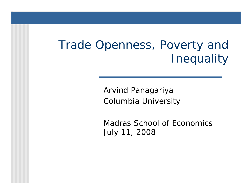#### Trade Openness, Poverty and **Inequality**

Arvind Panagariya Columbia University

Madras School of Economics July 11, 2008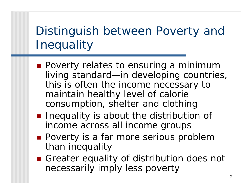## Distinguish between Poverty and **Inequality**

- **Poverty relates to ensuring a minimum** living standard—in developing countries, this is often the income necessary to maintain healthy level of calorie consumption, shelter and clothing
- **I** Inequality is about the distribution of income across all income groups
- **Poverty is a far more serious problem** than inequality
- Greater equality of distribution does not necessarily imply less poverty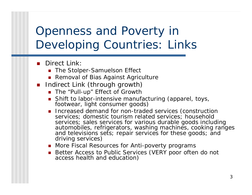#### Openness and Poverty in Developing Countries: Links

#### b. Direct Link:

- The Stolper-Samuelson Effect
- Removal of Bias Against Agriculture
- **Indirect Link (through growth)** 
	- The "Pull-up" Effect of Growth
	- Shift to labor-intensive n Shift to labor-intensive manufacturing (apparel, toys,<br>footwear, light consumer goods)
	- **Increased demand for non-traded services (construction** services; domestic tourism related services; household services; sales services f or various durable goods including automobiles, refrigerators, washing machines, cooking ranges and televisions sets; repair services for these goods; and driving services)
	- More Fiscal Resources for Anti-poverty programs
	- Better Access to Public Services (VERY poor often do not access health and education)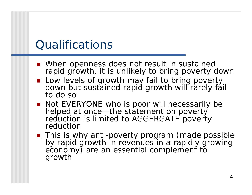#### **Qualifications**

- When openness does not result in sustained rapid growth, it is unlikely to bring poverty down
- Low levels of growth may fail to bring poverty down but sustained rapid growth will rarely fail to do so
- Not EVERYONE who is poor will necessarily be helped at once—the state ment on poverty reduction is limited to AGGERGATE poverty reduction
- **This is why anti-poverty program (made possible** by rapid growth in revenues in a rapidly growing<br>economy) are an essential complement to growth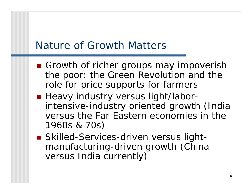#### Nature of Growth Matters

- Growth of richer groups may impoverish the poor: the Green Revolution and the role for price supports for farmers
- **Heavy industry versus light/labor**intensive-industry oriented growth (India versus the Far Eastern economies in the 1960s & 70s)
- Skilled-Services-driven versus lightmanufacturing-driven growth (China versus India currently)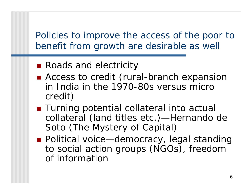Policies to improve the access of the poor to benefit from growth are desirable as well

- Roads and electricity
- Access to credit (rural-branch expansion in India in the 1970-80s versus micro credit)
- Turning potential collateral into actual collateral (land titles etc.)—Hernando de Soto (*The Mystery of Capital*)
- Political voice—democracy, legal standing to social action groups (NGOs), freedom of information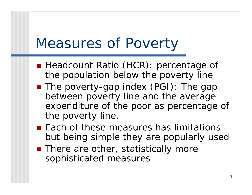## Measures of Poverty

- **Headcount Ratio (HCR): percentage of** the population below the poverty line
- The poverty-gap index (PGI): The gap between poverty line and the average expenditure of the poor as percentage of the poverty line.
- **Each of these measures has limitations** but being simple they are popularly used
- There are other, statistically more sophisticated measures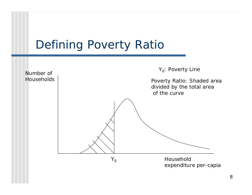#### Defining Poverty Ratio

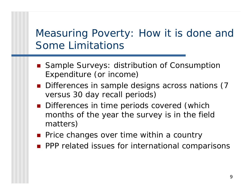#### Measuring Poverty: How it is done and Some Limitations

- Sample Surveys: distribution of Consumption Expenditure (or income)
- **Differences in sample designs across nations (7** versus 30 day recall periods)
- **Differences in time periods covered (which** months of the year the survey is in the field matters)
- **Price changes over time within a country**
- **PPP related issues for international comparisons**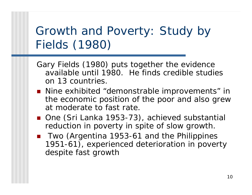#### Growth and Poverty: Study by Fields (1980)

- Gary Fields (1980) puts together the evidence available until 1980. He finds credible studies on 13 countries.
- Nine exhibited "demonstrable improvements" in the economic position of the poor and also grew at moderate to fast rate.
- One (Sri Lanka 1953-73), achieved substantial reduction in poverty in spite of slow growth.
- Two (Argentina 1953-61 and the Philippines 1951-61), experienced deterioration in poverty despite fast growth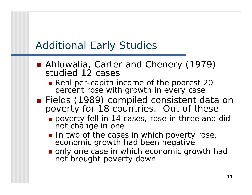#### Additional Early Studies

- Ahluwalia, Carter and Chenery (1979) studied 12 cases
	- Real per-capita income of the poorest 20 percent rose with growth in every case
- Fields (1989) compiled consistent data on poverty for 18 countries. Out of these
	- **poverty fell in 14 cases, rose in three and did** not change in one
	- In two of the cases in which poverty rose, economic growth had been negative
	- only one case in which economic growth had not brought poverty down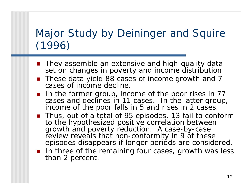#### Major Study by Deininger and Squire (1996)

- **They assemble an extensive and high-quality data** set on changes in poverty and income distribution
- These data yield 88 cases of income growth and 7 cases of income decline.
- $\blacksquare$  In the former group, income of the poor rises in 77 cases and declines in 11 cases. In the latter group, income of the poor falls in 5 and rises in 2 cases.
- Thus, out of a total of 95 episodes, 13 fail to conform to the hypothesized positive correlation between growth and poverty reduction. A case-by-case review reveals that non-conformity in 9 of these episodes disappears if longer periods are considered.
- **IF In three of the remaining four cases, growth was less** than 2 percent.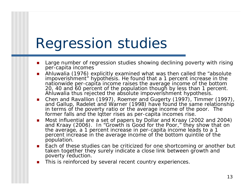# Regression studies

- $\blacksquare$  Large number of regression studies showing declining poverty with rising per-capita incomes
- L Ahluwalia (1976) explicitly examined what was then called the "absolute impoverishment" hypothesis. He found that a 1 percent increase in the nationwide per-capita income raises the average income of the bottom 20, 40 and 60 percent of the population though by less than 1 percent. Ahluwalia thus rejected the absolute impoverishm ent hypothesis.
- $\mathcal{L}^{\text{max}}_{\text{max}}$ ■ Chen and Ravallion (1997), Roemer and Gugerty (1997), Timmer (1997), and Gallup, Radelet and Warner (1998) have found the same relationship in terms of the poverty ratio or the average income of the poor. The former falls and the lqtter rises as per-capita incomes rise.
- $\mathcal{L}^{\mathcal{A}}$ ■ Most influential are a set of papers by Dollar and Kraay (2002 and 2004) and Kraay (2006). In "Growth is Good for the Poor," they show that on the average, a 1 percent increase in per-capita income leads to a 1 percent increase in the average income of the bottom quintile of the population.
- $\mathcal{L}_{\rm{max}}$  Each of these studies can be criticized for one shortcoming or another but taken together they surely indicate a close link between growth and poverty reduction.
- $\mathcal{L}_{\mathcal{A}}$ This is reinforced by several recent country experiences.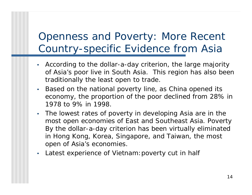#### Openness and Poverty: More Recent Country-specific Evidence from Asia

- • According to the dollar-a-day criterion, the large majority of Asia's poor live in South Asia. This region has also been traditionally the least open to trade.
- $\bullet$  Based on the national poverty line, as China opened its economy, the proportion of the poor declined from 28% in 1978 to 9% in 1998.
- The lowest rates of poverty in developing Asia are in the most open economies of East and Southeast Asia. Poverty By the dollar-a-day criterion has been virtually eliminated in Hong Kong, Korea, Singapore, and Taiwan, the most open of Asia's economies.
- $\bullet$ Latest experience of Vietnam:poverty cut in half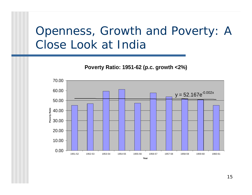#### Openness, Growth and Poverty: A Close Look at India

**P o v e r ty R a tio: 1951-62 ( p.c. g r o w t h < 2 % )**

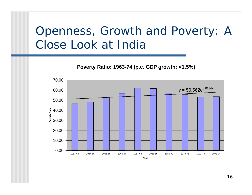#### Openness, Growth and Poverty: A Close Look at India

**P o v e r ty R a tio: 1963-74 ( p.c. GD P g r o w t h: < 1.5 %)**

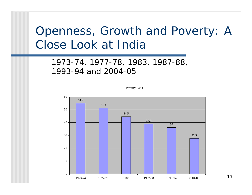#### Openness, Growth and Poverty: A Close Look at India

#### 1973-74, 1977-78, 1983, 1987-88, 1993-94 and 2004-05

Poverty Ratio



17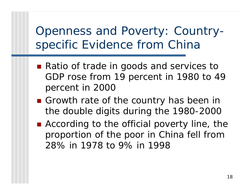Openness and Poverty: Countryspecific Evidence from China

- Ratio of trade in goods and services to GDP rose from 19 percent in 1980 to 49 percent in 2000
- Growth rate of the country has been in the dou ble digits during the 1980-2000
- According to the official poverty line, the proportion of the poor in China fell from 28% in 1978 to 9% in 1998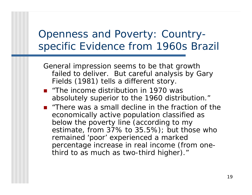#### Openness and Poverty: Countryspecific Evidence from 1960s Brazil

General impression seems to be that growth failed to deliver. But careful analysis by Gary Fields (1981) tells a different story.

- "The income distribution in 1970 was absolutely superior to the 1960 distribution."
- $\blacksquare$  "There was a small decline in the fraction of the economically active population classified as below the poverty line (according to my estimate, from 37% to 35.5%); but those who remained 'poor' experienced a marked percentage increase in real income (from onethird to as much as two-third higher)."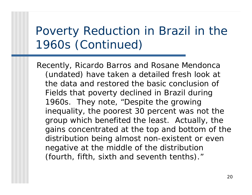#### Poverty Reduction in Brazil in the 1960s (Continued)

Recently, Ricardo Barros and Rosane Mendonca (undated) have taken a detailed fresh look at the data and restored the basic conclusion of Fields that poverty declined in Brazil during 1960s. They note, "Despite the growing inequality, the poorest 30 percent was not the group which benefited the least. Actually, the gains concentrated at the top and bottom of the distribution being almost non-existent or even negative at the middle of the distribution (fourth, fifth, sixth and seventh tenths)."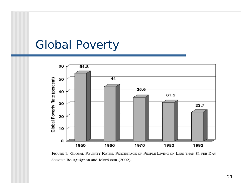#### Global Poverty



FIGURE 1. GLOBAL POVERTY RATES: PERCENTAGE OF PEOPLE LIVING ON LESS THAN \$1 PER DAY Source: Bourguignon and Morrisson (2002).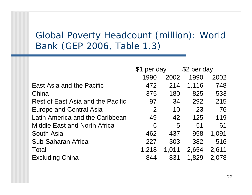#### Global Poverty Headcount (million): World Ban k (GEP 2006, Table 1.3)

|                                     | \$1 per day    |       | \$2 per day |       |
|-------------------------------------|----------------|-------|-------------|-------|
|                                     | 1990           | 2002  | 1990        | 2002  |
| East Asia and the Pacific           | 472            | 214   | 1,116       | 748   |
| China                               | 375            | 180   | 825         | 533   |
| Rest of East Asia and the Pacific   | 97             | 34    | 292         | 215   |
| <b>Europe and Central Asia</b>      | $\overline{2}$ | 10    | 23          | 76    |
| Latin America and the Caribbean     | 49             | 42    | 125         | 119   |
| <b>Middle East and North Africa</b> | 6              | 5     | 51          | 61    |
| South Asia                          | 462            | 437   | 958         | 1,091 |
| Sub-Saharan Africa                  | 227            | 303   | 382         | 516   |
| Total                               | 1,218          | 1,011 | 2,654       | 2,611 |
| <b>Excluding China</b>              | 844            | 831   | 1,829       | 2,078 |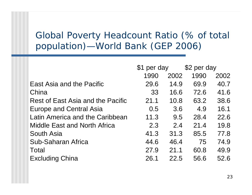#### Global Poverty Headcount Ratio (% of total population)—World Bank (GEP 2006)

|                                     | \$1 per day |      | \$2 per day |      |
|-------------------------------------|-------------|------|-------------|------|
|                                     | 1990        | 2002 | 1990        | 2002 |
| East Asia and the Pacific           | 29.6        | 14.9 | 69.9        | 40.7 |
| China                               | 33          | 16.6 | 72.6        | 41.6 |
| Rest of East Asia and the Pacific   | 21.1        | 10.8 | 63.2        | 38.6 |
| <b>Europe and Central Asia</b>      | 0.5         | 3.6  | 4.9         | 16.1 |
| Latin America and the Caribbean     | 11.3        | 9.5  | 28.4        | 22.6 |
| <b>Middle East and North Africa</b> | 2.3         | 2.4  | 21.4        | 19.8 |
| South Asia                          | 41.3        | 31.3 | 85.5        | 77.8 |
| Sub-Saharan Africa                  | 44.6        | 46.4 | 75          | 74.9 |
| Total                               | 27.9        | 21.1 | 60.8        | 49.9 |
| <b>Excluding China</b>              | 26.1        | 22.5 | 56.6        | 52.6 |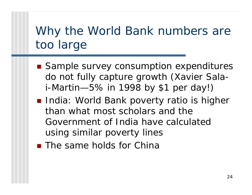## Why the World Bank numbers are too large

- Sample survey consumption expenditures do not fully capture growth (Xavier Salai-Martin—5% in 1998 by \$1 per day!)
- **India: World Bank poverty ratio is higher** than what most scholars and the Government of India have calculated using similar poverty lines
- **The same holds for China**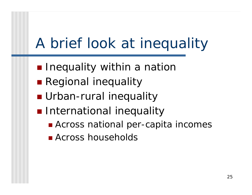# A brief look at inequality

- **Inequality within a natior**
- **Regional inequality**
- **E** Urban-rural inequality
- **n** International inequality
	- Across national per-capita incomes
	- **E** Across households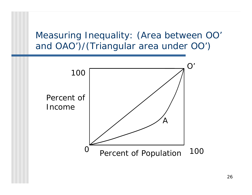Measuring Inequality: (Area between OO' and OAO')/(Triangular area under OO')

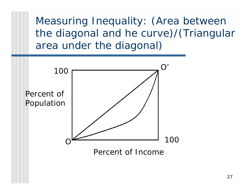Measuring Inequality: (Area between the diagonal and he curve)/(Triangular area under the diagonal)



Percent of Income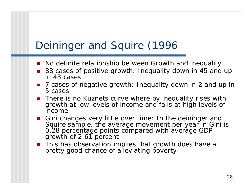#### Deininger and Squire (1996

- $\blacksquare$  No definite relationship between Growth and inequality
- 88 cases of positive growth: Inequality down in 45 and up in 43 cases
- 7 cases of negative growth: Inequality down in 2 and up in 5 cases
- **There is no Kuznets curve where by inequality rises with** growth at low levels of income and falls at high levels of income.
- **E** Gini changes very little over time: In the deininger and Squire sample, the average movement per year in Gini is 0.28 percentage points compared with average GDP growth of 2.61 percent
- **This has observation implies that growth does have a** pretty good chance of alleviating poverty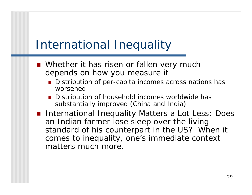#### International Inequality

- **Nether it has risen or fallen very much** depends on how you measure it
	- Distribution of per-capita incomes across nations has worsened
	- **Distribution of household incomes worldwide has** substantially improved (China and India)
- **International Inequality Matters a Lot Less: Does** an Indian farmer lose sleep over the living standard of his counterpart in the US? When it comes to inequality, one's immediate context matters much more.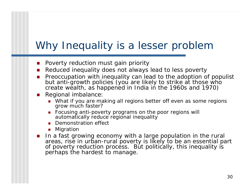#### Why Inequality is a lesser problem

- П Poverty reduction must gain priority
- $\mathcal{L}_{\text{max}}$ ■ Reduced inequality does not always lead to less poverty
- $\mathcal{L}_{\mathcal{A}}$  Preoccupation with inequality can lead to the adoption of populist but anti-growth policies (you are likely to strike at those who create wealth, as happened in India i n the 1960s and 1970)
- Regional imbalance:
	- What if you are making all regions better off even as some regions grow much faster?
	- **Focusing anti-poverty programs on the poor regions will** automatically r educe regional inequality
	- **Demonstration effect**
	- **•** Migratior
- **I** In a fast growing economy with a large population in the rural areas, rise i n urban-rural poverty is likely to be an essential p art of poverty reduction process. But politically, this i nequality is perhaps the hardest to manage.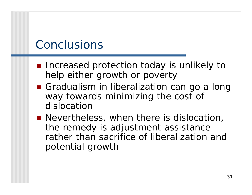#### Conclusions

- **Increased protection today is unlikely to** help either growth or poverty
- **Gradualism in liberalization can go a long** way towards minimizing the cost of dislocation
- **Nevertheless, when there is dislocation,** the remedy is adjustment assistance rather than sacrifice of liberalization and potential growth